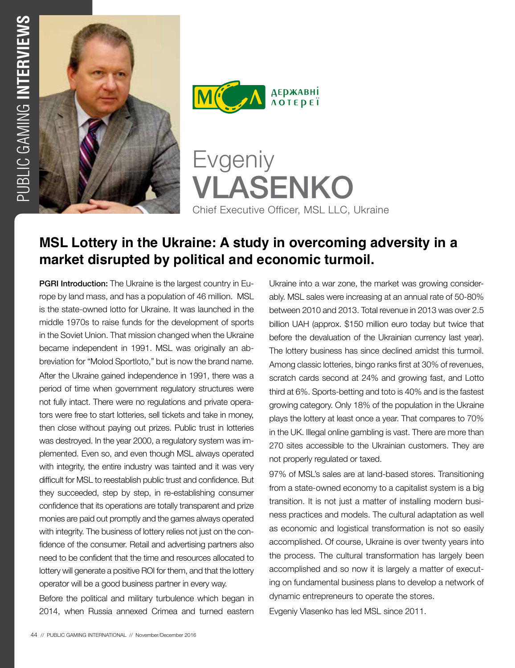



Evgeniy VLASENKO Chief Executive Officer, MSL LLC, Ukraine

# **MSL Lottery in the Ukraine: A study in overcoming adversity in a market disrupted by political and economic turmoil.**

**PGRI Introduction:** The Ukraine is the largest country in Europe by land mass, and has a population of 46 million. MSL is the state-owned lotto for Ukraine. It was launched in the middle 1970s to raise funds for the development of sports in the Soviet Union. That mission changed when the Ukraine became independent in 1991. MSL was originally an abbreviation for "Molod Sportloto," but is now the brand name. After the Ukraine gained independence in 1991, there was a period of time when government regulatory structures were not fully intact. There were no regulations and private operators were free to start lotteries, sell tickets and take in money, then close without paying out prizes. Public trust in lotteries was destroyed. In the year 2000, a regulatory system was implemented. Even so, and even though MSL always operated with integrity, the entire industry was tainted and it was very difficult for MSL to reestablish public trust and confidence. But they succeeded, step by step, in re-establishing consumer confidence that its operations are totally transparent and prize monies are paid out promptly and the games always operated with integrity. The business of lottery relies not just on the confidence of the consumer. Retail and advertising partners also need to be confident that the time and resources allocated to lottery will generate a positive ROI for them, and that the lottery operator will be a good business partner in every way.

Before the political and military turbulence which began in 2014, when Russia annexed Crimea and turned eastern

Ukraine into a war zone, the market was growing considerably. MSL sales were increasing at an annual rate of 50-80% between 2010 and 2013. Total revenue in 2013 was over 2.5 billion UAH (approx. \$150 million euro today but twice that before the devaluation of the Ukrainian currency last year). The lottery business has since declined amidst this turmoil. Among classic lotteries, bingo ranks first at 30% of revenues, scratch cards second at 24% and growing fast, and Lotto third at 6%. Sports-betting and toto is 40% and is the fastest growing category. Only 18% of the population in the Ukraine plays the lottery at least once a year. That compares to 70% in the UK. Illegal online gambling is vast. There are more than 270 sites accessible to the Ukrainian customers. They are not properly regulated or taxed.

97% of MSL's sales are at land-based stores. Transitioning from a state-owned economy to a capitalist system is a big transition. It is not just a matter of installing modern business practices and models. The cultural adaptation as well as economic and logistical transformation is not so easily accomplished. Of course, Ukraine is over twenty years into the process. The cultural transformation has largely been accomplished and so now it is largely a matter of executing on fundamental business plans to develop a network of dynamic entrepreneurs to operate the stores.

Evgeniy Vlasenko has led MSL since 2011.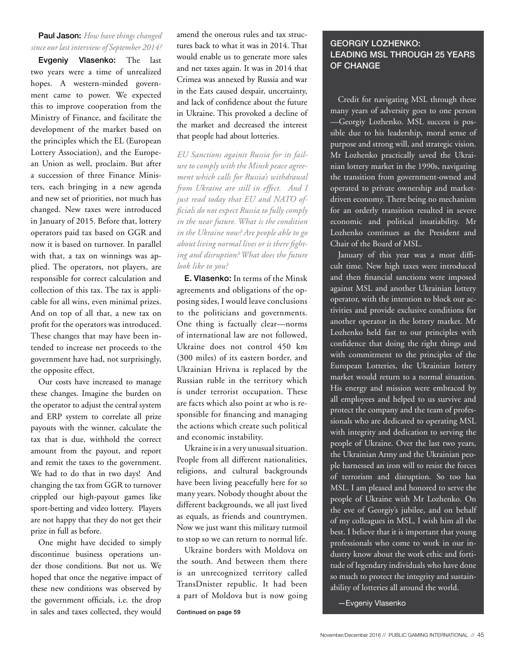### Paul Jason: *How have things changed since our last interview of September 2014?*

Evgeniy Vlasenko: The last two years were a time of unrealized hopes. A western-minded government came to power. We expected this to improve cooperation from the Ministry of Finance, and facilitate the development of the market based on the principles which the EL (European Lottery Association), and the European Union as well, proclaim. But after a succession of three Finance Ministers, each bringing in a new agenda and new set of priorities, not much has changed. New taxes were introduced in January of 2015. Before that, lottery operators paid tax based on GGR and now it is based on turnover. In parallel with that, a tax on winnings was applied. The operators, not players, are responsible for correct calculation and collection of this tax. The tax is applicable for all wins, even minimal prizes. And on top of all that, a new tax on profit for the operators was introduced. These changes that may have been intended to increase net proceeds to the government have had, not surprisingly, the opposite effect.

Our costs have increased to manage these changes. Imagine the burden on the operator to adjust the central system and ERP system to correlate all prize payouts with the winner, calculate the tax that is due, withhold the correct amount from the payout, and report and remit the taxes to the government. We had to do that in two days! And changing the tax from GGR to turnover crippled our high-payout games like sport-betting and video lottery. Players are not happy that they do not get their prize in full as before.

One might have decided to simply discontinue business operations under those conditions. But not us. We hoped that once the negative impact of these new conditions was observed by the government officials, i.e. the drop in sales and taxes collected, they would

amend the onerous rules and tax structures back to what it was in 2014. That would enable us to generate more sales and net taxes again. It was in 2014 that Crimea was annexed by Russia and war in the Eats caused despair, uncertainty, and lack of confidence about the future in Ukraine. This provoked a decline of the market and decreased the interest that people had about lotteries.

*EU Sanctions against Russia for its failure to comply with the Minsk peace agreement which calls for Russia's withdrawal from Ukraine are still in effect. And I just read today that EU and NATO officials do not expect Russia to fully comply in the near future. What is the condition in the Ukraine now? Are people able to go about living normal lives or is there fighting and disruption? What does the future look like to you?*

E. Vlasenko: In terms of the Minsk agreements and obligations of the opposing sides, I would leave conclusions to the politicians and governments. One thing is factually clear—norms of international law are not followed, Ukraine does not control 450 km (300 miles) of its eastern border, and Ukrainian Hrivna is replaced by the Russian ruble in the territory which is under terrorist occupation. These are facts which also point at who is responsible for financing and managing the actions which create such political and economic instability.

Ukraine is in a very unusual situation. People from all different nationalities, religions, and cultural backgrounds have been living peacefully here for so many years. Nobody thought about the different backgrounds, we all just lived as equals, as friends and countrymen. Now we just want this military turmoil to stop so we can return to normal life.

Ukraine borders with Moldova on the south. And between them there is an unrecognized territory called TransDnister republic. It had been a part of Moldova but is now going

Continued on page 59

## GEORGIY LOZHENKO: LEADING MSL THROUGH 25 YEARS OF CHANGE

Credit for navigating MSL through these many years of adversity goes to one person —Georgiy Lozhenko. MSL success is possible due to his leadership, moral sense of purpose and strong will, and strategic vision. Mr Lozhenko practically saved the Ukrainian lottery market in the 1990s, navigating the transition from government-owned and operated to private ownership and marketdriven economy. There being no mechanism for an orderly transition resulted in severe economic and political insatiability. Mr Lozhenko continues as the President and Chair of the Board of MSL.

January of this year was a most difficult time. New high taxes were introduced and then financial sanctions were imposed against MSL and another Ukrainian lottery operator, with the intention to block our activities and provide exclusive conditions for another operator in the lottery market. Mr Lozhenko held fast to our principles with confidence that doing the right things and with commitment to the principles of the European Lotteries, the Ukrainian lottery market would return to a normal situation. His energy and mission were embraced by all employees and helped to us survive and protect the company and the team of professionals who are dedicated to operating MSL with integrity and dedication to serving the people of Ukraine. Over the last two years, the Ukrainian Army and the Ukrainian people harnessed an iron will to resist the forces of terrorism and disruption. So too has MSL. I am pleased and honored to serve the people of Ukraine with Mr Lozhenko. On the eve of Georgiy's jubilee, and on behalf of my colleagues in MSL, I wish him all the best. I believe that it is important that young professionals who come to work in our industry know about the work ethic and fortitude of legendary individuals who have done so much to protect the integrity and sustainability of lotteries all around the world.

—Evgeniy Vlasenko